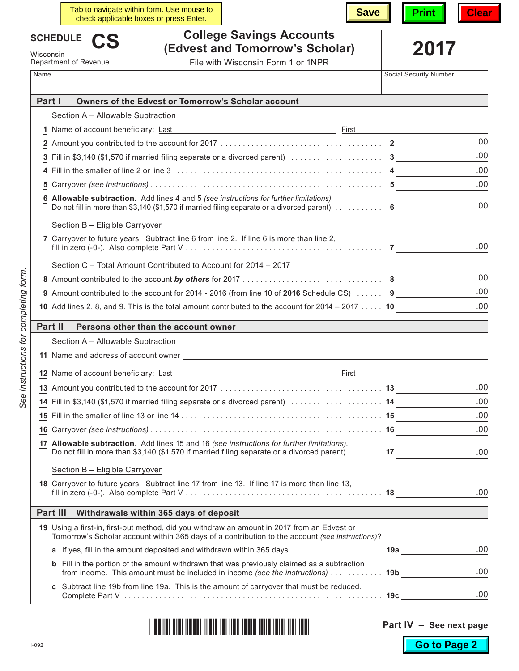|           |                                      | Tab to navigate within form. Use mouse to<br>check applicable boxes or press Enter.               | <b>Save</b>                                                                                                  | <b>Print</b>           | Clear |
|-----------|--------------------------------------|---------------------------------------------------------------------------------------------------|--------------------------------------------------------------------------------------------------------------|------------------------|-------|
|           | <b>SCHEDULE</b>                      |                                                                                                   | <b>College Savings Accounts</b>                                                                              |                        |       |
| Wisconsin |                                      |                                                                                                   | (Edvest and Tomorrow's Scholar)                                                                              | 2017                   |       |
| Name      | Department of Revenue                |                                                                                                   | File with Wisconsin Form 1 or 1NPR                                                                           | Social Security Number |       |
|           |                                      |                                                                                                   |                                                                                                              |                        |       |
|           | Part I                               | Owners of the Edvest or Tomorrow's Scholar account                                                |                                                                                                              |                        |       |
|           | Section A - Allowable Subtraction    |                                                                                                   |                                                                                                              |                        |       |
|           | 1 Name of account beneficiary: Last  |                                                                                                   | <u> 1980 - Johann Barn, mars and de Brasilian (b. 1980)</u>                                                  |                        |       |
|           |                                      |                                                                                                   |                                                                                                              |                        | .00   |
|           |                                      |                                                                                                   |                                                                                                              |                        | .00   |
|           |                                      |                                                                                                   |                                                                                                              |                        | .00   |
| 5         |                                      |                                                                                                   |                                                                                                              |                        | .00   |
|           |                                      | Allowable subtraction. Add lines 4 and 5 (see instructions for further limitations).              | Do not fill in more than \$3,140 (\$1,570 if married filing separate or a divorced parent) $\dots\dots\dots$ |                        | .00   |
|           | Section B - Eligible Carryover       |                                                                                                   |                                                                                                              |                        |       |
|           |                                      | 7 Carryover to future years. Subtract line 6 from line 2. If line 6 is more than line 2,          |                                                                                                              |                        | .00   |
|           |                                      | Section C - Total Amount Contributed to Account for 2014 - 2017                                   |                                                                                                              |                        |       |
|           |                                      |                                                                                                   |                                                                                                              |                        | .00   |
|           |                                      |                                                                                                   | 9 Amount contributed to the account for 2014 - 2016 (from line 10 of 2016 Schedule CS)  9                    |                        | .00   |
|           |                                      |                                                                                                   | 10 Add lines 2, 8, and 9. This is the total amount contributed to the account for $2014 - 2017$ 10           |                        | .00   |
|           | Part II                              |                                                                                                   |                                                                                                              |                        |       |
|           | Section A - Allowable Subtraction    | Persons other than the account owner                                                              |                                                                                                              |                        |       |
|           |                                      |                                                                                                   |                                                                                                              |                        |       |
|           |                                      | 11 Name and address of account owner                                                              |                                                                                                              |                        |       |
|           | 12 Name of account beneficiary: Last |                                                                                                   | First                                                                                                        |                        |       |
|           |                                      |                                                                                                   |                                                                                                              |                        | .00   |
|           |                                      |                                                                                                   | 14 Fill in \$3,140 (\$1,570 if married filing separate or a divorced parent)  14                             |                        | .00   |
|           |                                      |                                                                                                   |                                                                                                              |                        | .00   |
|           |                                      |                                                                                                   |                                                                                                              |                        | .00   |
|           |                                      | 17 Allowable subtraction. Add lines 15 and 16 (see instructions for further limitations).         | Do not fill in more than \$3,140 (\$1,570 if married filing separate or a divorced parent) 17                |                        | .00   |
|           | Section B - Eligible Carryover       |                                                                                                   |                                                                                                              |                        |       |
|           |                                      | 18 Carryover to future years. Subtract line 17 from line 13. If line 17 is more than line 13,     |                                                                                                              |                        | .00   |
|           | Part III                             | Withdrawals within 365 days of deposit                                                            |                                                                                                              |                        |       |
|           |                                      | 19 Using a first-in, first-out method, did you withdraw an amount in 2017 from an Edvest or       | Tomorrow's Scholar account within 365 days of a contribution to the account (see instructions)?              |                        |       |
|           |                                      |                                                                                                   | a If yes, fill in the amount deposited and withdrawn within 365 days 19a                                     |                        | .00   |
|           |                                      | <b>b</b> Fill in the portion of the amount withdrawn that was previously claimed as a subtraction | from income. This amount must be included in income (see the instructions)  19b                              |                        | .00   |
|           |                                      | c Subtract line 19b from line 19a. This is the amount of carryover that must be reduced.          |                                                                                                              |                        |       |
|           |                                      |                                                                                                   |                                                                                                              |                        | .00   |

|  |  |  |  |  | IOUILAI OIDI IIOUDI IIIOID IDI IIOII IOUID IDIIO IUIDI IIOI IOU |  |  |  |  |  |
|--|--|--|--|--|-----------------------------------------------------------------|--|--|--|--|--|
|--|--|--|--|--|-----------------------------------------------------------------|--|--|--|--|--|

 $\Bigg\}$ 

**Part IV – See next page**

**Go to Page 2**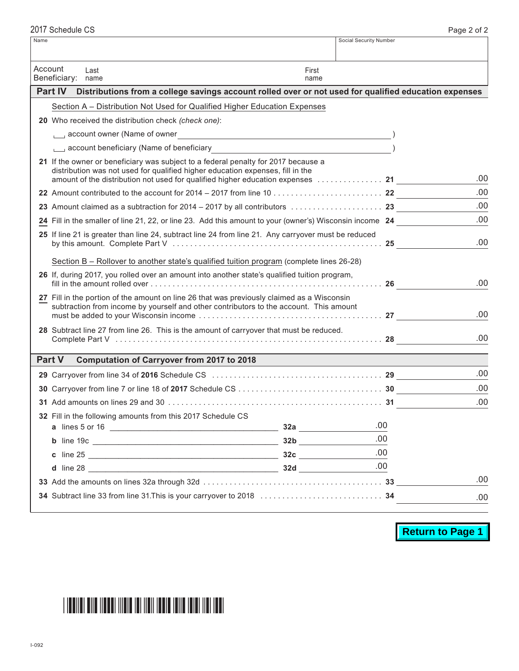| Name    |                                                                                                                                                                                                                                |               | Social Security Number |     |
|---------|--------------------------------------------------------------------------------------------------------------------------------------------------------------------------------------------------------------------------------|---------------|------------------------|-----|
| Account | Last<br>Beneficiary:<br>name                                                                                                                                                                                                   | First<br>name |                        |     |
|         | <b>Part IV</b><br>Distributions from a college savings account rolled over or not used for qualified education expenses                                                                                                        |               |                        |     |
|         | Section A - Distribution Not Used for Qualified Higher Education Expenses                                                                                                                                                      |               |                        |     |
|         | 20 Who received the distribution check (check one):                                                                                                                                                                            |               |                        |     |
|         | Louis account owner (Name of owner Letter and Contract and Contract of Owner Letter and Contract and Contract of Decision (Name of owner Letter and Contract of Decision and Contract of Decision (Name of Owner Letter and Co |               |                        |     |
|         |                                                                                                                                                                                                                                |               |                        |     |
|         | 21 If the owner or beneficiary was subject to a federal penalty for 2017 because a<br>distribution was not used for qualified higher education expenses, fill in the                                                           |               |                        | .00 |
|         |                                                                                                                                                                                                                                |               |                        | .00 |
|         | 23 Amount claimed as a subtraction for $2014 - 2017$ by all contributors $\ldots \ldots \ldots \ldots$                                                                                                                         |               |                        | .00 |
|         | 24 Fill in the smaller of line 21, 22, or line 23. Add this amount to your (owner's) Wisconsin income 24                                                                                                                       |               |                        | .00 |
|         | 25 If line 21 is greater than line 24, subtract line 24 from line 21. Any carryover must be reduced                                                                                                                            |               |                        | .00 |
|         | Section B - Rollover to another state's qualified tuition program (complete lines 26-28)                                                                                                                                       |               |                        |     |
|         | 26 If, during 2017, you rolled over an amount into another state's qualified tuition program,                                                                                                                                  |               |                        | .00 |
|         | 27 Fill in the portion of the amount on line 26 that was previously claimed as a Wisconsin<br>subtraction from income by yourself and other contributors to the account. This amount                                           |               |                        | .00 |
|         | 28 Subtract line 27 from line 26. This is the amount of carryover that must be reduced.                                                                                                                                        |               |                        | .00 |
|         | <b>Part V</b><br><b>Computation of Carryover from 2017 to 2018</b>                                                                                                                                                             |               |                        |     |
|         |                                                                                                                                                                                                                                |               |                        | .00 |
|         |                                                                                                                                                                                                                                |               |                        | .00 |
|         |                                                                                                                                                                                                                                |               |                        | .00 |
|         | 32 Fill in the following amounts from this 2017 Schedule CS                                                                                                                                                                    |               |                        |     |
|         |                                                                                                                                                                                                                                |               | .00                    |     |
|         |                                                                                                                                                                                                                                |               | .00                    |     |
|         |                                                                                                                                                                                                                                |               | .00                    |     |
|         |                                                                                                                                                                                                                                |               | .00                    |     |
|         |                                                                                                                                                                                                                                |               |                        | .00 |
|         |                                                                                                                                                                                                                                |               |                        | .00 |
|         |                                                                                                                                                                                                                                |               |                        |     |

**Return to Page 1**

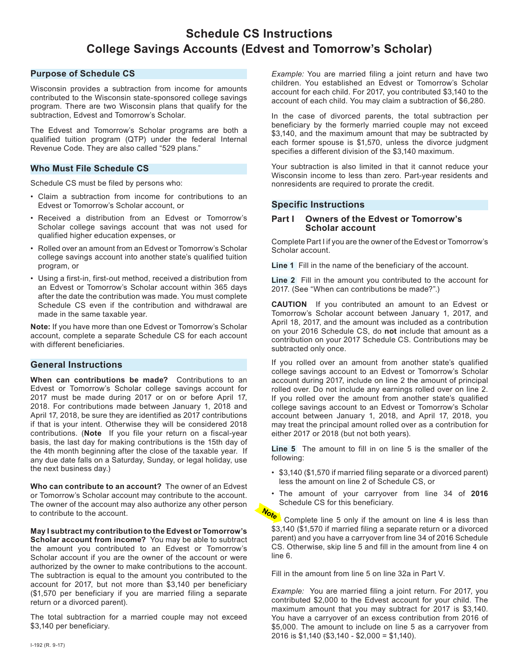# **Schedule CS Instructions College Savings Accounts (Edvest and Tomorrow's Scholar)**

## **Purpose of Schedule CS**

Wisconsin provides a subtraction from income for amounts contributed to the Wisconsin state-sponsored college savings program. There are two Wisconsin plans that qualify for the subtraction, Edvest and Tomorrow's Scholar.

The Edvest and Tomorrow's Scholar programs are both a qualified tuition program (QTP) under the federal Internal Revenue Code. They are also called "529 plans."

## **Who Must File Schedule CS**

Schedule CS must be filed by persons who:

- Claim a subtraction from income for contributions to an Edvest or Tomorrow's Scholar account, or
- Received a distribution from an Edvest or Tomorrow's Scholar college savings account that was not used for qualified higher education expenses, or
- Rolled over an amount from an Edvest or Tomorrow's Scholar college savings account into another state's qualified tuition program, or
- Using a first-in, first-out method, received a distribution from an Edvest or Tomorrow's Scholar account within 365 days after the date the contribution was made. You must complete Schedule CS even if the contribution and withdrawal are made in the same taxable year.

**Note:** If you have more than one Edvest or Tomorrow's Scholar account, complete a separate Schedule CS for each account with different beneficiaries.

# **General Instructions**

**When can contributions be made?** Contributions to an Edvest or Tomorrow's Scholar college savings account for 2017 must be made during 2017 or on or before April 17, 2018. For contributions made between January 1, 2018 and April 17, 2018, be sure they are identified as 2017 contributions if that is your intent. Otherwise they will be considered 2018 contributions. (**Note** If you file your return on a fiscal-year basis, the last day for making contributions is the 15th day of the 4th month beginning after the close of the taxable year. If any due date falls on a Saturday, Sunday, or legal holiday, use the next business day.)

**Who can contribute to an account?** The owner of an Edvest or Tomorrow's Scholar account may contribute to the account. The owner of the account may also authorize any other person to contribute to the account.

**May I subtract my contribution to the Edvest or Tomorrow's Scholar account from income?** You may be able to subtract the amount you contributed to an Edvest or Tomorrow's Scholar account if you are the owner of the account or were authorized by the owner to make contributions to the account. The subtraction is equal to the amount you contributed to the account for 2017, but not more than \$3,140 per beneficiary (\$1,570 per beneficiary if you are married filing a separate return or a divorced parent).

The total subtraction for a married couple may not exceed \$3,140 per beneficiary.

*Example:* You are married filing a joint return and have two children. You established an Edvest or Tomorrow's Scholar account for each child. For 2017, you contributed \$3,140 to the account of each child. You may claim a subtraction of \$6,280.

In the case of divorced parents, the total subtraction per beneficiary by the formerly married couple may not exceed \$3,140, and the maximum amount that may be subtracted by each former spouse is \$1,570, unless the divorce judgment specifies a different division of the \$3,140 maximum.

Your subtraction is also limited in that it cannot reduce your Wisconsin income to less than zero. Part-year residents and nonresidents are required to prorate the credit.

# **Specific Instructions**

#### **Part I Owners of the Edvest or Tomorrow's Scholar account**

Complete Part I if you are the owner of the Edvest or Tomorrow's Scholar account.

**Line 1** Fill in the name of the beneficiary of the account.

**Line 2** Fill in the amount you contributed to the account for 2017. (See "When can contributions be made?".)

**CAUTION** If you contributed an amount to an Edvest or Tomorrow's Scholar account between January 1, 2017, and April 18, 2017, and the amount was included as a contribution on your 2016 Schedule CS, do **not** include that amount as a contribution on your 2017 Schedule CS. Contributions may be subtracted only once.

If you rolled over an amount from another state's qualified college savings account to an Edvest or Tomorrow's Scholar account during 2017, include on line 2 the amount of principal rolled over. Do not include any earnings rolled over on line 2. If you rolled over the amount from another state's qualified college savings account to an Edvest or Tomorrow's Scholar account between January 1, 2018, and April 17, 2018, you may treat the principal amount rolled over as a contribution for either 2017 or 2018 (but not both years).

**Line 5** The amount to fill in on line 5 is the smaller of the following:

- \$3,140 (\$1,570 if married filing separate or a divorced parent) less the amount on line 2 of Schedule CS, or
- The amount of your carryover from line 34 of **2016** Schedule CS for this beneficiary.

Note Complete line 5 only if the amount on line 4 is less than \$3,140 (\$1,570 if married filing a separate return or a divorced parent) and you have a carryover from line 34 of 2016 Schedule CS. Otherwise, skip line 5 and fill in the amount from line 4 on line 6.

Fill in the amount from line 5 on line 32a in Part V.

*Example:* You are married filing a joint return. For 2017, you contributed \$2,000 to the Edvest account for your child. The maximum amount that you may subtract for 2017 is \$3,140. You have a carryover of an excess contribution from 2016 of \$5,000. The amount to include on line 5 as a carryover from 2016 is \$1,140 (\$3,140 - \$2,000 = \$1,140).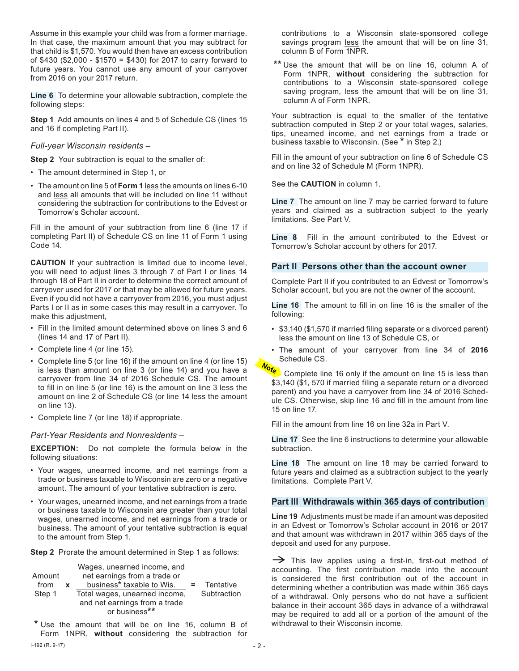Assume in this example your child was from a former marriage. In that case, the maximum amount that you may subtract for that child is \$1,570. You would then have an excess contribution of \$430 (\$2,000 - \$1570 = \$430) for 2017 to carry forward to future years. You cannot use any amount of your carryover from 2016 on your 2017 return.

**Line 6** To determine your allowable subtraction, complete the following steps:

**Step 1** Add amounts on lines 4 and 5 of Schedule CS (lines 15 and 16 if completing Part II).

#### *Full-year Wisconsin residents –*

**Step 2** Your subtraction is equal to the smaller of:

- The amount determined in Step 1, or
- The amount on line 5 of **Form 1** less the amounts on lines 6-10 and less all amounts that will be included on line 11 without considering the subtraction for contributions to the Edvest or Tomorrow's Scholar account.

Fill in the amount of your subtraction from line 6 (line 17 if completing Part II) of Schedule CS on line 11 of Form 1 using Code 14.

**CAUTION** If your subtraction is limited due to income level, you will need to adjust lines 3 through 7 of Part I or lines 14 through 18 of Part II in order to determine the correct amount of carryover used for 2017 or that may be allowed for future years. Even if you did not have a carryover from 2016, you must adjust Parts I or II as in some cases this may result in a carryover. To make this adjustment,

- Fill in the limited amount determined above on lines 3 and 6 (lines 14 and 17 of Part II).
- Complete line 4 (or line 15).
- Complete line 5 (or line 16) if the amount on line 4 (or line 15) is less than amount on line 3 (or line 14) and you have a carryover from line 34 of 2016 Schedule CS. The amount to fill in on line 5 (or line 16) is the amount on line 3 less the amount on line 2 of Schedule CS (or line 14 less the amount on line 13).
- Complete line 7 (or line 18) if appropriate.

#### *Part-Year Residents and Nonresidents –*

**EXCEPTION:** Do not complete the formula below in the following situations:

- Your wages, unearned income, and net earnings from a trade or business taxable to Wisconsin are zero or a negative amount. The amount of your tentative subtraction is zero.
- Your wages, unearned income, and net earnings from a trade or business taxable to Wisconsin are greater than your total wages, unearned income, and net earnings from a trade or business. The amount of your tentative subtraction is equal to the amount from Step 1.

**Step 2** Prorate the amount determined in Step 1 as follows:

|        |   | Wages, unearned income, and   |             |
|--------|---|-------------------------------|-------------|
| Amount |   | net earnings from a trade or  |             |
| from   | x | business* taxable to Wis.     | Tentative   |
| Step 1 |   | Total wages, unearned income, | Subtraction |
|        |   | and net earnings from a trade |             |
|        |   | or business**                 |             |

**\*** Use the amount that will be on line 16, column B of Form 1NPR, **without** considering the subtraction for

contributions to a Wisconsin state-sponsored college savings program less the amount that will be on line 31, column B of Form 1NPR.

**\*\*** Use the amount that will be on line 16, column A of Form 1NPR, **without** considering the subtraction for contributions to a Wisconsin state-sponsored college saving program, less the amount that will be on line 31, column A of Form 1NPR.

Your subtraction is equal to the smaller of the tentative subtraction computed in Step 2 or your total wages, salaries, tips, unearned income, and net earnings from a trade or business taxable to Wisconsin. (See **\*** in Step 2.)

Fill in the amount of your subtraction on line 6 of Schedule CS and on line 32 of Schedule M (Form 1NPR).

See the **CAUTION** in column 1.

**Line 7** The amount on line 7 may be carried forward to future years and claimed as a subtraction subject to the yearly limitations. See Part V.

**Line 8** Fill in the amount contributed to the Edvest or Tomorrow's Scholar account by others for 2017.

#### **Part II Persons other than the account owner**

Complete Part II if you contributed to an Edvest or Tomorrow's Scholar account, but you are not the owner of the account.

**Line 16** The amount to fill in on line 16 is the smaller of the following:

- \$3,140 (\$1,570 if married filing separate or a divorced parent) less the amount on line 13 of Schedule CS, or
- The amount of your carryover from line 34 of **2016** Schedule CS.

Note Complete line 16 only if the amount on line 15 is less than \$3,140 (\$1, 570 if married filing a separate return or a divorced parent) and you have a carryover from line 34 of 2016 Schedule CS. Otherwise, skip line 16 and fill in the amount from line 15 on line 17.

Fill in the amount from line 16 on line 32a in Part V.

**Line 17** See the line 6 instructions to determine your allowable subtraction.

**Line 18** The amount on line 18 may be carried forward to future years and claimed as a subtraction subject to the yearly limitations. Complete Part V.

#### **Part III Withdrawals within 365 days of contribution**

**Line 19** Adjustments must be made if an amount was deposited in an Edvest or Tomorrow's Scholar account in 2016 or 2017 and that amount was withdrawn in 2017 within 365 days of the deposit and used for any purpose.

 $\rightarrow$  This law applies using a first-in, first-out method of accounting. The first contribution made into the account is considered the first contribution out of the account in determining whether a contribution was made within 365 days of a withdrawal. Only persons who do not have a sufficient balance in their account 365 days in advance of a withdrawal may be required to add all or a portion of the amount of the withdrawal to their Wisconsin income.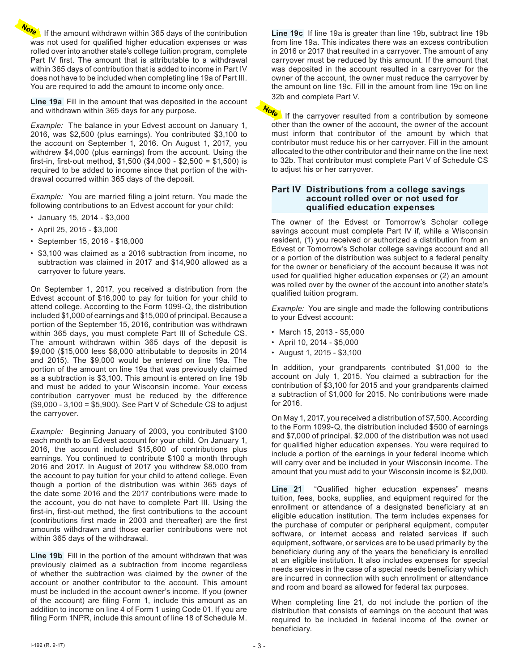Note If the amount withdrawn within 365 days of the contribution was not used for qualified higher education expenses or was rolled over into another state's college tuition program, complete Part IV first. The amount that is attributable to a withdrawal within 365 days of contribution that is added to income in Part IV does not have to be included when completing line 19a of Part III. You are required to add the amount to income only once.

**Line 19a** Fill in the amount that was deposited in the account and withdrawn within 365 days for any purpose.

*Example:* The balance in your Edvest account on January 1, 2016, was \$2,500 (plus earnings). You contributed \$3,100 to the account on September 1, 2016. On August 1, 2017, you withdrew \$4,000 (plus earnings) from the account. Using the first-in, first-out method, \$1,500 (\$4,000 - \$2,500 = \$1,500) is required to be added to income since that portion of the withdrawal occurred within 365 days of the deposit.

*Example:* You are married filing a joint return. You made the following contributions to an Edvest account for your child:

- January 15, 2014 \$3,000
- April 25, 2015 \$3,000
- September 15, 2016 \$18,000
- \$3,100 was claimed as a 2016 subtraction from income, no subtraction was claimed in 2017 and \$14,900 allowed as a carryover to future years.

On September 1, 2017, you received a distribution from the Edvest account of \$16,000 to pay for tuition for your child to attend college. According to the Form 1099-Q, the distribution included \$1,000 of earnings and \$15,000 of principal. Because a portion of the September 15, 2016, contribution was withdrawn within 365 days, you must complete Part III of Schedule CS. The amount withdrawn within 365 days of the deposit is \$9,000 (\$15,000 less \$6,000 attributable to deposits in 2014 and 2015). The \$9,000 would be entered on line 19a. The portion of the amount on line 19a that was previously claimed as a subtraction is \$3,100. This amount is entered on line 19b and must be added to your Wisconsin income. Your excess contribution carryover must be reduced by the difference (\$9,000 - 3,100 = \$5,900). See Part V of Schedule CS to adjust the carryover.

*Example:* Beginning January of 2003, you contributed \$100 each month to an Edvest account for your child. On January 1, 2016, the account included \$15,600 of contributions plus earnings. You continued to contribute \$100 a month through 2016 and 2017. In August of 2017 you withdrew \$8,000 from the account to pay tuition for your child to attend college. Even though a portion of the distribution was within 365 days of the date some 2016 and the 2017 contributions were made to the account, you do not have to complete Part III. Using the first-in, first-out method, the first contributions to the account (contributions first made in 2003 and thereafter) are the first amounts withdrawn and those earlier contributions were not within 365 days of the withdrawal.

**Line 19b** Fill in the portion of the amount withdrawn that was previously claimed as a subtraction from income regardless of whether the subtraction was claimed by the owner of the account or another contributor to the account. This amount must be included in the account owner's income. If you (owner of the account) are filing Form 1, include this amount as an addition to income on line 4 of Form 1 using Code 01. If you are filing Form 1NPR, include this amount of line 18 of Schedule M.

**Line 19c** If line 19a is greater than line 19b, subtract line 19b from line 19a. This indicates there was an excess contribution in 2016 or 2017 that resulted in a carryover. The amount of any carryover must be reduced by this amount. If the amount that was deposited in the account resulted in a carryover for the owner of the account, the owner must reduce the carryover by the amount on line 19c. Fill in the amount from line 19c on line

 $\frac{32b}{b}$  and complete Part V. If the carryover resulted from a contribution by someone other than the owner of the account, the owner of the account must inform that contributor of the amount by which that contributor must reduce his or her carryover. Fill in the amount allocated to the other contributor and their name on the line next to 32b. That contributor must complete Part V of Schedule CS to adjust his or her carryover.

#### **Part IV Distributions from a college savings account rolled over or not used for qualified education expenses**

The owner of the Edvest or Tomorrow's Scholar college savings account must complete Part IV if, while a Wisconsin resident, (1) you received or authorized a distribution from an Edvest or Tomorrow's Scholar college savings account and all or a portion of the distribution was subject to a federal penalty for the owner or beneficiary of the account because it was not used for qualified higher education expenses or (2) an amount was rolled over by the owner of the account into another state's qualified tuition program.

*Example:* You are single and made the following contributions to your Edvest account:

- March 15, 2013 \$5,000
- April 10, 2014 \$5,000
- August 1, 2015 \$3,100

In addition, your grandparents contributed \$1,000 to the account on July 1, 2015. You claimed a subtraction for the contribution of \$3,100 for 2015 and your grandparents claimed a subtraction of \$1,000 for 2015. No contributions were made for 2016.

On May 1, 2017, you received a distribution of \$7,500. According to the Form 1099-Q, the distribution included \$500 of earnings and \$7,000 of principal. \$2,000 of the distribution was not used for qualified higher education expenses. You were required to include a portion of the earnings in your federal income which will carry over and be included in your Wisconsin income. The amount that you must add to your Wisconsin income is \$2,000.

**Line 21** "Qualified higher education expenses" means tuition, fees, books, supplies, and equipment required for the enrollment or attendance of a designated beneficiary at an eligible education institution. The term includes expenses for the purchase of computer or peripheral equipment, computer software, or internet access and related services if such equipment, software, or services are to be used primarily by the beneficiary during any of the years the beneficiary is enrolled at an eligible institution. It also includes expenses for special needs services in the case of a special needs beneficiary which are incurred in connection with such enrollment or attendance and room and board as allowed for federal tax purposes.

When completing line 21, do not include the portion of the distribution that consists of earnings on the account that was required to be included in federal income of the owner or beneficiary.